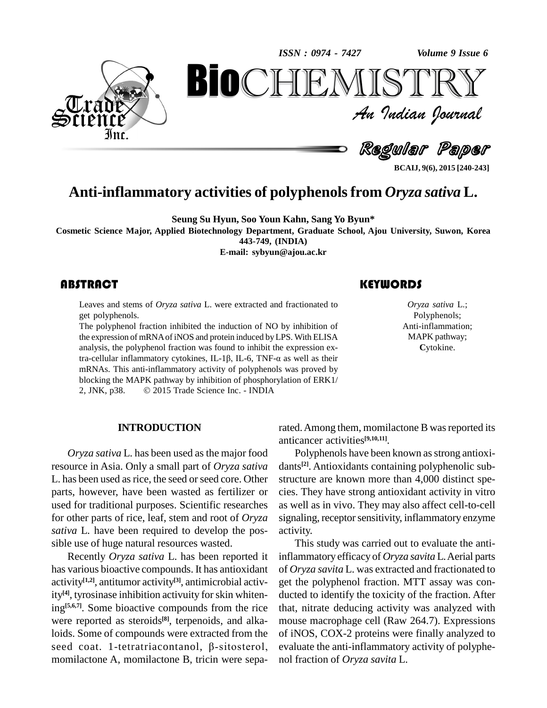*Volume 9 Issue 6*



*Volume 9 Issue 6*<br> $\begin{array}{c} \text{Volume 9 Issue 6} \\ \text{S T R Y} \end{array}$ **BioCHEMISTRY**<br>Au Indian Journal<br>Regular Paper<br>Nativities of polyphenols from *Oryza sativa* L. An Indian Journal<br>Regullar Paper

**BCAIJ, 9(6), 2015 [240-243]**

# **Anti-inflammatory activities of polyphenolsfrom** *Oryza sativa* **L.**

**Seung Su Hyun, Soo Youn Kahn, Sang Yo Byun\***

**Cosmetic Science Major, Applied Biotechnology Department, Graduate School, Ajou University, Suwon, Korea 443-749, (INDIA)**

**E-mail: [sybyun@ajou.ac.kr](mailto:sybyun@ajou.ac.kr)**

Leaves and stems of *Oryza sativa* L. were extracted and fractionated to get polyphenols. Leaves and stems of *Oryza sativa* L. were extracted and fractionated to *Oryza sativa* I get polyphenols. Polyphenols.<br>The polyphenol fraction inhibited the induction of NO by inhibition of Anti-inflammati

The polyphenol fraction inhibited the induction of NO by inhibition of the expression of mRNAofiNOS and protein induced byLPS. With ELISA analysis, the polyphenol fraction was found to inhibit the expression exthe expression of mRNA of iNOS and protein induced by LPS. With ELISA<br>analysis, the polyphenol fraction was found to inhibit the expression ex-<br>tra-cellular inflammatory cytokines, IL-1 $\beta$ , IL-6, TNF- $\alpha$  as well as thei mRNAs. This anti-inflammatory activity of polyphenols was proved by<br>blocking the MAPK pathway by inhibition of phosphorylation of ERK1/<br>2, JNK, p38.  $\circ$  2015 Trade Science Inc. - INDIA blocking the MAPK pathway by inhibition of phosphorylation of ERK1/

*Oryza sativa* L.; Polyphenols; Anti-inflammation; MAPK pathway; **C**ytokine.

#### **INTRODUCTION**

*Oryza sativa* L. has been used as the major food resource in Asia. Only a small part of *Oryza sativa* L. has been used as rice, the seed or seed core. Other parts, however, have been wasted as fertilizer or used for traditional purposes. Scientific researches for other parts of rice, leaf, stem and root of *Oryza sativa* L. have been required to develop the pos sible use of huge natural resources wasted.

Recently *Oryza sativa* L. has been reported it has various bioactive compounds. It has antioxidant activity **[1,2]**, antitumor activity **[3]**, antimicrobial activity **[4]**, tyrosinase inhibition activuity forskin whitening<sup>[5,6,7]</sup>. Some bioactive compounds from the rice that, were reported as steroids<sup>[8]</sup>, terpenoids, and alkaloids. Some of compounds were extracted from the of iNOS were reported as steroids<sup>[8]</sup>, terpenoids, and alka-<br>loids. Some of compounds were extracted from the of<br>seed coat. 1-tetratriacontanol,  $\beta$ -sitosterol, ev momilactone A, momilactone B, tricin were sepa-

rated. Among them, momilactone B was reported its anticancer activities **[9,10,11]**.

Polyphenols have been known as strong antioxidants **[2]**. Antioxidants containing polyphenolic sub structure are known more than 4,000 distinct spe cies. They have strong antioxidant activity in vitro as well as in vivo. They may also affect cell-to-cell signaling, receptor sensitivity, inflammatory enzyme activity.

This study was carried out to evaluate the antiinflammatory efficacy of *Oryza savita* L.Aerial parts of *Oryza savita* L. was extracted and fractionated to get the polyphenol fraction. MTT assay was con ducted to identify the toxicity of the fraction. After that, nitrate deducing activity was analyzed with mouse macrophage cell (Raw 264.7). Expressions of iNOS, COX-2 proteins were finally analyzed to evaluate the anti-inflammatory activity of polyphe nol fraction of *Oryza savita* L.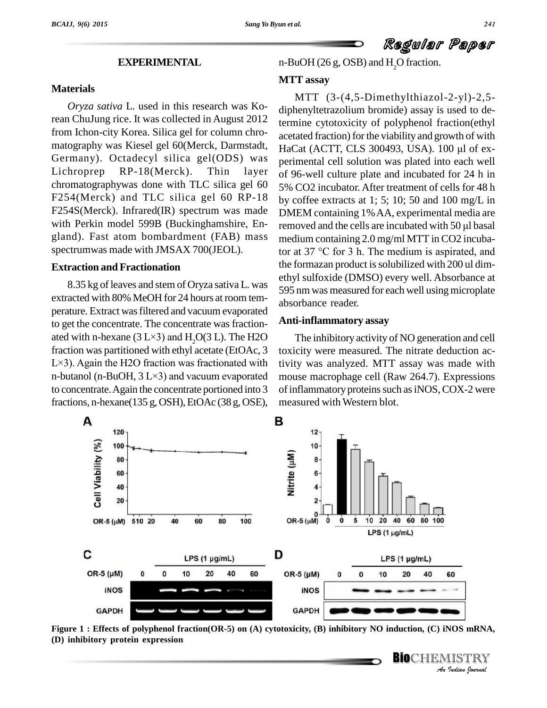Regular Paper

### **EXPERIMENTAL**

#### **Materials**

*Oryza sativa* L. used in this research was Korean ChuJung rice. It was collected in August 2012 from Ichon-city Korea. Silica gel for column chro- Germany). Octadecyl silica gel(ODS) was Lichroprep RP-18(Merck). Thin layer chromatographywas done with TLC silica gel 60 F254(Merck) and TLC silica gel 60 RP-18 F254S(Merck). Infrared(IR) spectrum was made with Perkin model 599B (Buckinghamshire, En gland). Fast atom bombardment (FAB) mass spectrumwas made with JMSAX 700(JEOL).

#### **Extraction and Fractionation**

8.35 kg of leaves and stem of Oryza sativa L. was extracted with 80% MeOH for 24 hours at room tem perature. Extract wasfiltered and vacuum evaporated to get the concentrate. The concentrate was fraction ated with n-hexane  $(3 L \times 3)$  and  $H<sub>2</sub>O(3 L)$ . The H2O fraction was partitioned with ethyl acetate (EtOAc, 3 toxicit ated with n-hexane (3 L×3) and H<sub>2</sub>O(3 L). The H2O The fraction was partitioned with ethyl acetate (EtOAc, 3 toxicity L×3). Again the H2O fraction was fractionated with tivity fraction was partitioned with ethyl acetate (EtOAc, 3 toxicity L×3). Again the H2O fraction was fractionated with tivity in-butanol (n-BuOH, 3 L×3) and vacuum evaporated mouse to concentrate.Again the concentrate portioned into 3 fractions, n-hexane( $135$  g, OSH), EtOAc ( $38$  g, OSE),

n-BuOH (26 g, OSB) and H<sub>2</sub>O fraction.

### **MTT assay**

matography was Kiesel gel 60(Merck, Darmstadt, HaCat (ACTT, CLS 300493, USA). 100 µl of ex-MTT (3-(4,5-Dimethylthiazol-2-yl)-2,5 diphenyltetrazolium bromide) assay is used to determine cytotoxicity of polyphenol fraction(ethyl<br>acetated fraction) for the viability and growth of with<br>HaCat (ACTT, CLS 300493, USA). 100 µl of exacetated fraction) for the viability and growth of with perimental cell solution was plated into each well of 96-well culture plate and incubated for 24 h in 5% CO2 incubator. After treatment of cells for 48 h by coffee extracts at 1; 5; 10; 50 and 100 mg/L in DMEM containing 1%AA, experimental media are by coffee extracts at 1; 5; 10; 50 and 100 mg/L in<br>DMEM containing 1% AA, experimental media are<br>removed and the cells are incubated with 50 µl basal medium containing 2.0 mg/ml MTT in CO2 incubaremoved and the cells are incubated with 50 µl basal<br>medium containing 2.0 mg/ml MTT in CO2 incuba-<br>tor at 37 °C for 3 h. The medium is aspirated, and the formazan product is solubilized with 200 ul dimethyl sulfoxide (DMSO) every well. Absorbance at 595 nm was measured for each well using microplate absorbance reader.

#### **Anti-inflammatory assay**

The inhibitory activity of NO generation and cell toxicity were measured. The nitrate deduction activity was analyzed. MTT assay was made with mouse macrophage cell (Raw 264.7). Expressions of inflammatory proteins such as iNOS, COX-2 were measured with Western blot.

**BIO**CHEMISTRY<br>An Indian Journal



**Indian**<br>**I**<br>IISTRY<br>*Indian <sup>f</sup>ournal* Figure 1 : Effects of polyphenol fraction(OR-5) on (A) cytotoxicity, (B) inhibitory NO induction, (C) iNOS mRNA, **(D) inhibitory protein expression**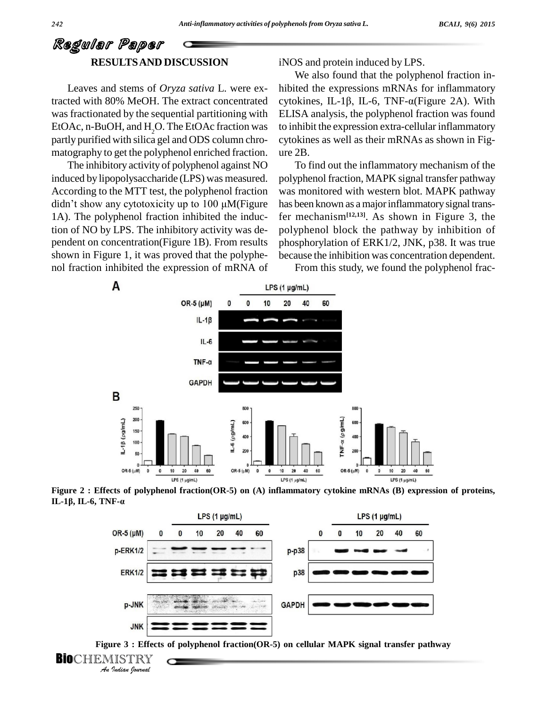## Regular Paper **RESULTSAND DISCUSSION**

Leaves and stems of *Oryza sativa* L. were exwas fractionated by the sequential partitioning with EtOAc, n-BuOH, and H<sub>2</sub>O. The EtOAc fraction was partly purified with silica gel and ODS column chro matography to get the polyphenol enriched fraction.

The inhibitory activity of polyphenol against NO induced by lipopolysaccharide (LPS) was measured. According to the MTT test, the polyphenol fraction didn't show any cytotoxicity up to  $100 \mu M$ (Figure 1A). The polyphenol fraction inhibited the induction of NO by LPS. The inhibitory activity was de pendent on concentration(Figure 1B). From results shown in Figure 1, it was proved that the polyphe nol fraction inhibited the expression of mRNA of iNOS and protein induced by LPS.

tracted with 80% MeOH. The extract concentrated cytokines, IL-1 $\beta$ , IL-6, TNF- $\alpha$ (Figure 2A). With We also found that the polyphenol fraction in hibited the expressions mRNAs for inflammatory We also found that the polyphenol fraction in-<br>hibited the expressions mRNAs for inflammatory<br>cytokines, IL-1 $\beta$ , IL-6, TNF- $\alpha$ (Figure 2A). With ELISA analysis, the polyphenol fraction was found to inhibit the expression extra-cellular inflammatory cytokines as well as their mRNAs as shown in Fig ure 2B.

> To find out the inflammatory mechanism of the polyphenol fraction, MAPK signal transfer pathway was monitored with western blot. MAPK pathway has been known as a major inflammatory signal transfer mechanism**[12,13]**. As shown in Figure 3, the polyphenol block the pathway by inhibition of phosphorylation of ERK1/2, JNK, p38. It was true because the inhibition was concentration dependent.

From this study, we found the polyphenol frac-









```
BioCHEMISTRY<br>An Indian Iournal
```